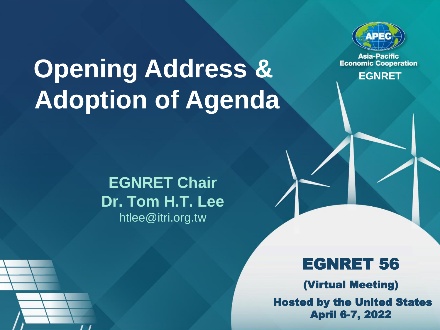

**Opening Address &** <br> **EGNRET** EGNRET **Adoption of Agenda**

**EGNRET Chair Dr. Tom H.T. Lee** htlee@itri.org.tw

## EGNRET 56

(Virtual Meeting) Hosted by the United States April 6-7, 2022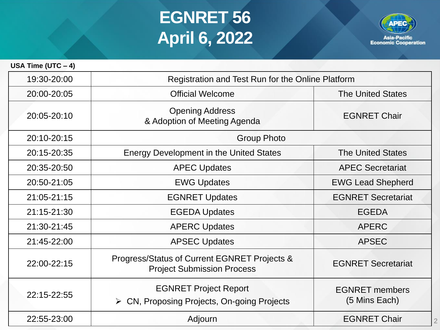## **EGNRET 56 April 6, 2022**



| 19:30-20:00 | Registration and Test Run for the Online Platform                                                                                    |                           |
|-------------|--------------------------------------------------------------------------------------------------------------------------------------|---------------------------|
| 20:00-20:05 | <b>Official Welcome</b>                                                                                                              | <b>The United States</b>  |
| 20:05-20:10 | <b>Opening Address</b><br>& Adoption of Meeting Agenda                                                                               | <b>EGNRET Chair</b>       |
| 20:10-20:15 | <b>Group Photo</b>                                                                                                                   |                           |
| 20:15-20:35 | <b>Energy Development in the United States</b>                                                                                       | <b>The United States</b>  |
| 20:35-20:50 | <b>APEC Updates</b>                                                                                                                  | <b>APEC Secretariat</b>   |
| 20:50-21:05 | <b>EWG Updates</b>                                                                                                                   | <b>EWG Lead Shepherd</b>  |
| 21:05-21:15 | <b>EGNRET Updates</b>                                                                                                                | <b>EGNRET Secretariat</b> |
| 21:15-21:30 | <b>EGEDA Updates</b>                                                                                                                 | <b>EGEDA</b>              |
| 21:30-21:45 | <b>APERC Updates</b>                                                                                                                 | <b>APERC</b>              |
| 21:45-22:00 | <b>APSEC Updates</b>                                                                                                                 | <b>APSEC</b>              |
| 22:00-22:15 | Progress/Status of Current EGNRET Projects &<br><b>EGNRET Secretariat</b><br><b>Project Submission Process</b>                       |                           |
| 22:15-22:55 | <b>EGNRET Project Report</b><br><b>EGNRET</b> members<br>(5 Mins Each)<br>$\triangleright$ CN, Proposing Projects, On-going Projects |                           |
| 22:55-23:00 | Adjourn                                                                                                                              | <b>EGNRET Chair</b>       |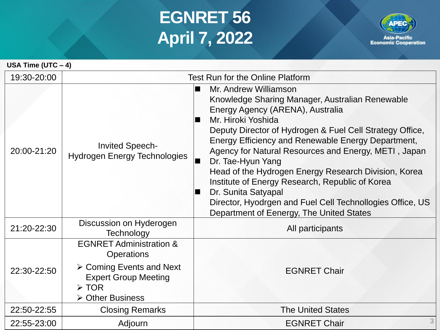## **EGNRET 56 April 7, 2022**



| USA Time (UTC $-4$ ) |                                                                                                                                                                                              |                                                                                                                                                                                                                                                                                                                                                                                                                                                                                                                                                                                     |  |
|----------------------|----------------------------------------------------------------------------------------------------------------------------------------------------------------------------------------------|-------------------------------------------------------------------------------------------------------------------------------------------------------------------------------------------------------------------------------------------------------------------------------------------------------------------------------------------------------------------------------------------------------------------------------------------------------------------------------------------------------------------------------------------------------------------------------------|--|
| 19:30-20:00          | <b>Test Run for the Online Platform</b>                                                                                                                                                      |                                                                                                                                                                                                                                                                                                                                                                                                                                                                                                                                                                                     |  |
| 20:00-21:20          | <b>Invited Speech-</b><br><b>Hydrogen Energy Technologies</b>                                                                                                                                | Mr. Andrew Williamson<br>II.<br>Knowledge Sharing Manager, Australian Renewable<br>Energy Agency (ARENA), Australia<br>Mr. Hiroki Yoshida<br>Deputy Director of Hydrogen & Fuel Cell Strategy Office,<br>Energy Efficiency and Renewable Energy Department,<br>Agency for Natural Resources and Energy, METI, Japan<br>Dr. Tae-Hyun Yang<br>Head of the Hydrogen Energy Research Division, Korea<br>Institute of Energy Research, Republic of Korea<br>Dr. Sunita Satyapal<br>Director, Hyodrgen and Fuel Cell Technollogies Office, US<br>Department of Eenergy, The United States |  |
| 21:20-22:30          | Discussion on Hyderogen<br>Technology                                                                                                                                                        | All participants                                                                                                                                                                                                                                                                                                                                                                                                                                                                                                                                                                    |  |
| 22:30-22:50          | <b>EGNRET Administration &amp;</b><br><b>Operations</b><br>$\triangleright$ Coming Events and Next<br><b>Expert Group Meeting</b><br>$\triangleright$ TOR<br>$\triangleright$ Other Business | <b>EGNRET Chair</b>                                                                                                                                                                                                                                                                                                                                                                                                                                                                                                                                                                 |  |
| 22:50-22:55          | <b>Closing Remarks</b>                                                                                                                                                                       | <b>The United States</b>                                                                                                                                                                                                                                                                                                                                                                                                                                                                                                                                                            |  |
| 22:55-23:00          | Adjourn                                                                                                                                                                                      | 3<br><b>EGNRET Chair</b>                                                                                                                                                                                                                                                                                                                                                                                                                                                                                                                                                            |  |